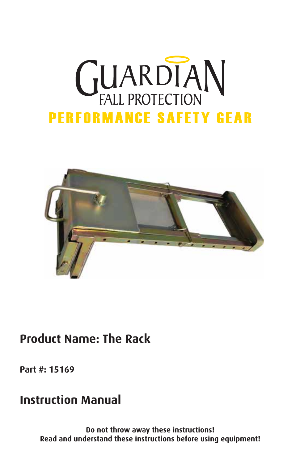# **GUARDIAN PERFORMANCE SAFETY GEAR**



# **Product Name: The Rack**

**Part #: 15169**

## **Instruction Manual**

**Do not throw away these instructions! Read and understand these instructions before using equipment!**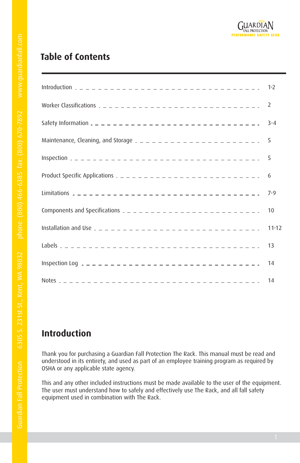## **Table of Contents**

| Worker Classifications $2 - 2 - 2 - 2 - 2 - 2 - 2 - 2 - 2 - 2 - 2 - 2$         |           |
|--------------------------------------------------------------------------------|-----------|
|                                                                                |           |
| Maintenance, Cleaning, and Storage $2 - 2 - 2 - 2 - 2 - 2 - 2 - 2 - 2 - 2 - 2$ | 5         |
|                                                                                | 5         |
|                                                                                |           |
|                                                                                | $7 - 9$   |
| Components and Specifications $2 - 2 - 2 - 2 - 2 - 2 - 2 - 2 - 2 - 2 - 2$      | 10        |
|                                                                                | $11 - 12$ |
|                                                                                | 13        |
|                                                                                | 14        |
|                                                                                |           |

## **Introduction**

Thank you for purchasing a Guardian Fall Protection The Rack. This manual must be read and understood in its entirety, and used as part of an employee training program as required by OSHA or any applicable state agency.

This and any other included instructions must be made available to the user of the equipment. The user must understand how to safely and effectively use The Rack, and all fall safety equipment used in combination with The Rack.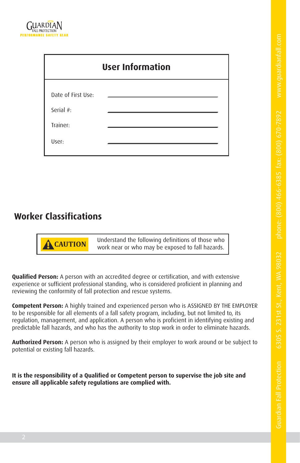| <b>User Information</b> |  |  |  |  |  |  |
|-------------------------|--|--|--|--|--|--|
| Date of First Use:      |  |  |  |  |  |  |
| Serial #:               |  |  |  |  |  |  |
| Trainer:                |  |  |  |  |  |  |
| User:                   |  |  |  |  |  |  |

## **Worker Classifications**

**! CAUTION** Understand the following definitions of those who work near or who may be exposed to fall hazards.

**Qualified Person:** A person with an accredited degree or certification, and with extensive experience or sufficient professional standing, who is considered proficient in planning and reviewing the conformity of fall protection and rescue systems.

**Competent Person:** A highly trained and experienced person who is ASSIGNED BY THE EMPLOYER to be responsible for all elements of a fall safety program, including, but not limited to, its regulation, management, and application. A person who is proficient in identifying existing and predictable fall hazards, and who has the authority to stop work in order to eliminate hazards.

**Authorized Person:** A person who is assigned by their employer to work around or be subject to potential or existing fall hazards.

**It is the responsibility of a Qualified or Competent person to supervise the job site and ensure all applicable safety regulations are complied with.**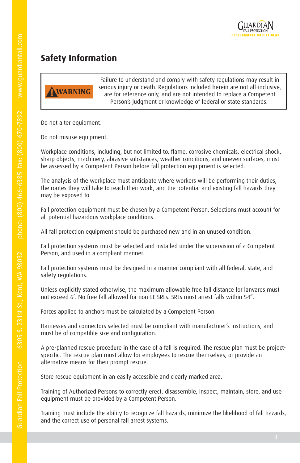

## **Safety Information**



Failure to understand and comply with safety regulations may result in serious injury or death. Regulations included herein are not all-inclusive, are for reference only, and are not intended to replace a Competent Person's judgment or knowledge of federal or state standards.

Do not alter equipment.

Do not misuse equipment.

Workplace conditions, including, but not limited to, flame, corrosive chemicals, electrical shock, sharp objects, machinery, abrasive substances, weather conditions, and uneven surfaces, must be assessed by a Competent Person before fall protection equipment is selected.

The analysis of the workplace must anticipate where workers will be performing their duties, the routes they will take to reach their work, and the potential and existing fall hazards they may be exposed to.

Fall protection equipment must be chosen by a Competent Person. Selections must account for all potential hazardous workplace conditions.

All fall protection equipment should be purchased new and in an unused condition.

Fall protection systems must be selected and installed under the supervision of a Competent Person, and used in a compliant manner.

Fall protection systems must be designed in a manner compliant with all federal, state, and safety regulations.

Unless explicitly stated otherwise, the maximum allowable free fall distance for lanyards must not exceed 6'. No free fall allowed for non-LE SRLs. SRLs must arrest falls within 54".

Forces applied to anchors must be calculated by a Competent Person.

Harnesses and connectors selected must be compliant with manufacturer's instructions, and must be of compatible size and configuration.

A pre-planned rescue procedure in the case of a fall is required. The rescue plan must be projectspecific. The rescue plan must allow for employees to rescue themselves, or provide an alternative means for their prompt rescue.

Store rescue equipment in an easily accessible and clearly marked area.

Training of Authorized Persons to correctly erect, disassemble, inspect, maintain, store, and use equipment must be provided by a Competent Person.

Training must include the ability to recognize fall hazards, minimize the likelihood of fall hazards, and the correct use of personal fall arrest systems.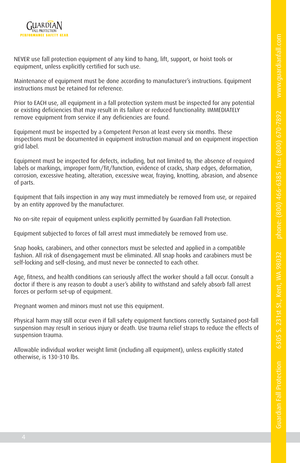

NEVER use fall protection equipment of any kind to hang, lift, support, or hoist tools or equipment, unless explicitly certified for such use.

Maintenance of equipment must be done according to manufacturer's instructions. Equipment instructions must be retained for reference.

Prior to EACH use, all equipment in a fall protection system must be inspected for any potential or existing deficiencies that may result in its failure or reduced functionality. IMMEDIATELY remove equipment from service if any deficiencies are found.

Equipment must be inspected by a Competent Person at least every six months. These inspections must be documented in equipment instruction manual and on equipment inspection grid label.

Equipment must be inspected for defects, including, but not limited to, the absence of required labels or markings, improper form/fit/function, evidence of cracks, sharp edges, deformation, corrosion, excessive heating, alteration, excessive wear, fraying, knotting, abrasion, and absence of parts.

Equipment that fails inspection in any way must immediately be removed from use, or repaired by an entity approved by the manufacturer.

No on-site repair of equipment unless explicitly permitted by Guardian Fall Protection.

Equipment subjected to forces of fall arrest must immediately be removed from use.

Snap hooks, carabiners, and other connectors must be selected and applied in a compatible fashion. All risk of disengagement must be eliminated. All snap hooks and carabiners must be self-locking and self-closing, and must never be connected to each other.

Age, fitness, and health conditions can seriously affect the worker should a fall occur. Consult a doctor if there is any reason to doubt a user's ability to withstand and safely absorb fall arrest forces or perform set-up of equipment.

Pregnant women and minors must not use this equipment.

Physical harm may still occur even if fall safety equipment functions correctly. Sustained post-fall suspension may result in serious injury or death. Use trauma relief straps to reduce the effects of suspension trauma.

Allowable individual worker weight limit (including all equipment), unless explicitly stated otherwise, is 130-310 lbs.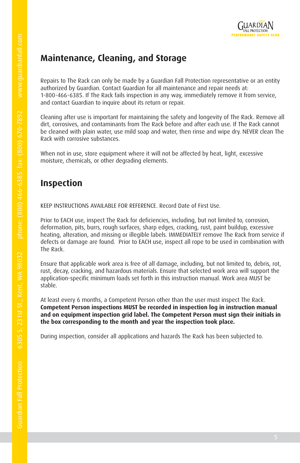## **Maintenance, Cleaning, and Storage**

Repairs to The Rack can only be made by a Guardian Fall Protection representative or an entity authorized by Guardian. Contact Guardian for all maintenance and repair needs at: 1-800-466-6385. If The Rack fails inspection in any way, immediately remove it from service, and contact Guardian to inquire about its return or repair.

Cleaning after use is important for maintaining the safety and longevity of The Rack. Remove all dirt, corrosives, and contaminants from The Rack before and after each use. If The Rack cannot be cleaned with plain water, use mild soap and water, then rinse and wipe dry. NEVER clean The Rack with corrosive substances.

When not in use, store equipment where it will not be affected by heat, light, excessive moisture, chemicals, or other degrading elements.

## **Inspection**

KEEP INSTRUCTIONS AVAILABLE FOR REFERENCE. Record Date of First Use.

Prior to EACH use, inspect The Rack for deficiencies, including, but not limited to, corrosion, deformation, pits, burrs, rough surfaces, sharp edges, cracking, rust, paint buildup, excessive heating, alteration, and missing or illegible labels. IMMEDIATELY remove The Rack from service if defects or damage are found. Prior to EACH use, inspect all rope to be used in combination with The Rack.

Ensure that applicable work area is free of all damage, including, but not limited to, debris, rot, rust, decay, cracking, and hazardous materials. Ensure that selected work area will support the application-specific minimum loads set forth in this instruction manual. Work area MUST be stable.

At least every 6 months, a Competent Person other than the user must inspect The Rack. **Competent Person inspections MUST be recorded in inspection log in instruction manual and on equipment inspection grid label. The Competent Person must sign their initials in the box corresponding to the month and year the inspection took place.**

During inspection, consider all applications and hazards The Rack has been subjected to.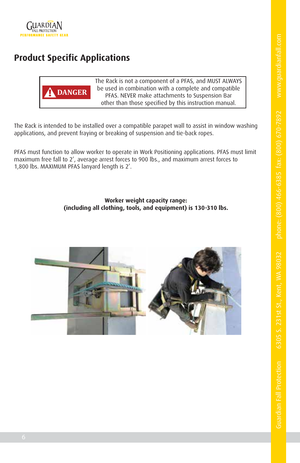

## **Product Specific Applications**



The Rack is not a component of a PFAS, and MUST ALWAYS be used in combination with a complete and compatible PFAS. NEVER make attachments to Suspension Bar other than those specified by this instruction manual.

The Rack is intended to be installed over a compatible parapet wall to assist in window washing applications, and prevent fraying or breaking of suspension and tie-back ropes.

PFAS must function to allow worker to operate in Work Positioning applications. PFAS must limit maximum free fall to 2', average arrest forces to 900 lbs., and maximum arrest forces to 1,800 lbs. MAXIMUM PFAS lanyard length is 2'.

> **Worker weight capacity range: (including all clothing, tools, and equipment) is 130-310 lbs.**

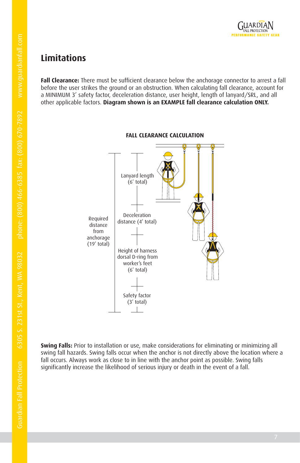

## **Limitations**

**Fall Clearance:** There must be sufficient clearance below the anchorage connector to arrest a fall before the user strikes the ground or an obstruction. When calculating fall clearance, account for a MINIMUM 3' safety factor, deceleration distance, user height, length of lanyard/SRL, and all other applicable factors. **Diagram shown is an EXAMPLE fall clearance calculation ONLY.**



**Swing Falls:** Prior to installation or use, make considerations for eliminating or minimizing all swing fall hazards. Swing falls occur when the anchor is not directly above the location where a fall occurs. Always work as close to in line with the anchor point as possible. Swing falls significantly increase the likelihood of serious injury or death in the event of a fall.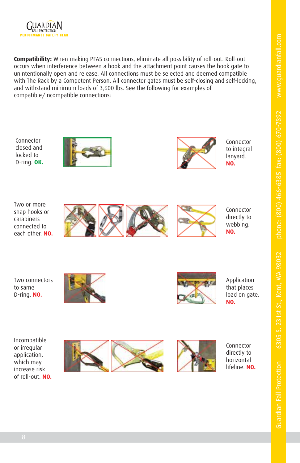



**Compatibility:** When making PFAS connections, eliminate all possibility of roll-out. Roll-out occurs when interference between a hook and the attachment point causes the hook gate to unintentionally open and release. All connections must be selected and deemed compatible with The Rack by a Competent Person. All connector gates must be self-closing and self-locking, and withstand minimum loads of 3,600 lbs. See the following for examples of compatible/incompatible connections:

Connector closed and locked to D-ring. **OK.**



Connector to integral lanyard. **NO.**

Two or more snap hooks or carabiners connected to each other. **NO.**





Connector directly to webbing. **NO.**

Two connectors to same D-ring. **NO.**





Application that places load on gate. **NO.**

Incompatible or irregular application, which may increase risk of roll-out. **NO.**





Connector directly to horizontal lifeline. **NO.**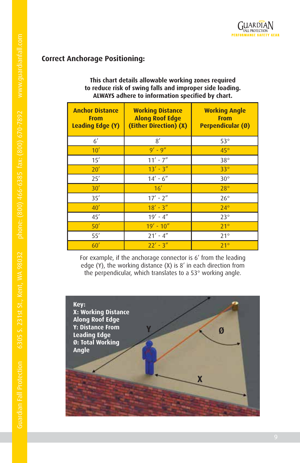#### **Correct Anchorage Positioning:**

#### **This chart details allowable working zones required to reduce risk of swing falls and improper side loading. ALWAYS adhere to information specified by chart.**

| <b>Anchor Distance</b><br><b>From</b><br>Leading Edge (Y) | <b>Working Distance</b><br><b>Along Roof Edge</b><br>(Either Direction) (X) | <b>Working Angle</b><br><b>From</b><br>Perpendicular (Ø) |
|-----------------------------------------------------------|-----------------------------------------------------------------------------|----------------------------------------------------------|
| $6^{\prime}$                                              | 8'                                                                          | $53^\circ$                                               |
| 10'                                                       | $9' - 9''$                                                                  | $45^\circ$                                               |
| 15'                                                       | $11' - 7''$                                                                 | $38^\circ$                                               |
| 20'                                                       | $13' - 3''$                                                                 | $33^\circ$                                               |
| 25'                                                       | $14' - 6''$                                                                 | $30^\circ$                                               |
| 30'                                                       | 16'                                                                         | $28^\circ$                                               |
| 35'                                                       | $17' - 2''$                                                                 | $26^{\circ}$                                             |
| 40'                                                       | $18' - 3''$                                                                 | $24^\circ$                                               |
| 45'                                                       | $19' - 4''$                                                                 | $23^\circ$                                               |
| 50'                                                       | $19' - 10''$                                                                | $21^{\circ}$                                             |
| 55'                                                       | $21' - 4''$                                                                 | $21^{\circ}$                                             |
| 60'                                                       | $22' - 3''$                                                                 | $71^\circ$                                               |

For example, if the anchorage connector is 6' from the leading edge (Y), the working distance (X) is 8' in each direction from the perpendicular, which translates to a 53° working angle.

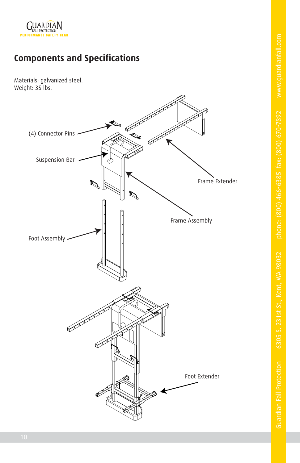

## **Components and Specifications**

Materials: galvanized steel. Weight: 35 lbs.

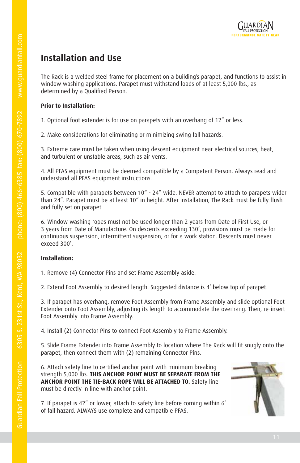

## **Installation and Use**

The Rack is a welded steel frame for placement on a building's parapet, and functions to assist in window washing applications. Parapet must withstand loads of at least 5,000 lbs., as determined by a Qualified Person.

#### **Prior to Installation:**

1. Optional foot extender is for use on parapets with an overhang of 12" or less.

2. Make considerations for eliminating or minimizing swing fall hazards.

3. Extreme care must be taken when using descent equipment near electrical sources, heat, and turbulent or unstable areas, such as air vents.

4. All PFAS equipment must be deemed compatible by a Competent Person. Always read and understand all PFAS equipment instructions.

5. Compatible with parapets between 10" - 24" wide. NEVER attempt to attach to parapets wider than 24". Parapet must be at least 10" in height. After installation, The Rack must be fully flush and fully set on parapet.

6. Window washing ropes must not be used longer than 2 years from Date of First Use, or 3 years from Date of Manufacture. On descents exceeding 130', provisions must be made for continuous suspension, intermittent suspension, or for a work station. Descents must never exceed 300'.

#### **Installation:**

1. Remove (4) Connector Pins and set Frame Assembly aside.

2. Extend Foot Assembly to desired length. Suggested distance is 4' below top of parapet.

3. If parapet has overhang, remove Foot Assembly from Frame Assembly and slide optional Foot Extender onto Foot Assembly, adjusting its length to accommodate the overhang. Then, re-insert Foot Assembly into Frame Assembly.

4. Install (2) Connector Pins to connect Foot Assembly to Frame Assembly.

5. Slide Frame Extender into Frame Assembly to location where The Rack will fit snugly onto the parapet, then connect them with (2) remaining Connector Pins.

6. Attach safety line to certified anchor point with minimum breaking strength 5,000 lbs. **THIS ANCHOR POINT MUST BE SEPARATE FROM THE ANCHOR POINT THE TIE-BACK ROPE WILL BE ATTACHED TO.** Safety line must be directly in line with anchor point.

7. If parapet is 42" or lower, attach to safety line before coming within 6' of fall hazard. ALWAYS use complete and compatible PFAS.

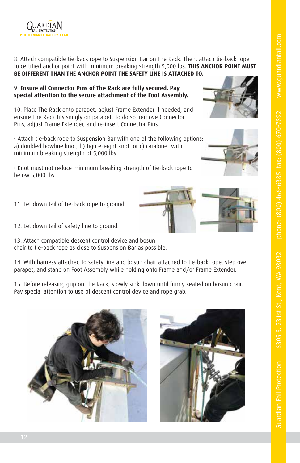

8. Attach compatible tie-back rope to Suspension Bar on The Rack. Then, attach tie-back rope to certified anchor point with minimum breaking strength 5,000 lbs. **THIS ANCHOR POINT MUST BE DIFFERENT THAN THE ANCHOR POINT THE SAFETY LINE IS ATTACHED TO.**

#### 9. **Ensure all Connector Pins of The Rack are fully secured. Pay special attention to the secure attachment of the Foot Assembly.**

10. Place The Rack onto parapet, adjust Frame Extender if needed, and ensure The Rack fits snugly on parapet. To do so, remove Connector Pins, adjust Frame Extender, and re-insert Connector Pins.

• Attach tie-back rope to Suspension Bar with one of the following options: a) doubled bowline knot, b) figure-eight knot, or c) carabiner with minimum breaking strength of 5,000 lbs.

• Knot must not reduce minimum breaking strength of tie-back rope to below 5,000 lbs.

11. Let down tail of tie-back rope to ground.

12. Let down tail of safety line to ground.

13. Attach compatible descent control device and bosun chair to tie-back rope as close to Suspension Bar as possible.

14. With harness attached to safety line and bosun chair attached to tie-back rope, step over parapet, and stand on Foot Assembly while holding onto Frame and/or Frame Extender.

15. Before releasing grip on The Rack, slowly sink down until firmly seated on bosun chair. Pay special attention to use of descent control device and rope grab.









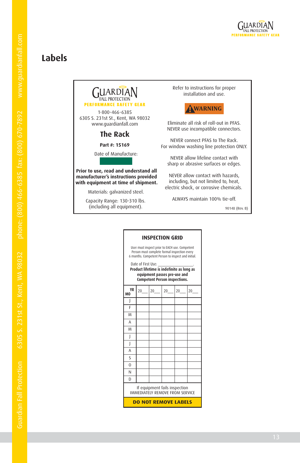

## **Labels**

| <b>GUARDIAN</b>                                           | Refer to in<br>insta         |
|-----------------------------------------------------------|------------------------------|
| <b>PERFORMANCE SAFETY GEAR</b>                            |                              |
| 1-800-466-6385                                            |                              |
| 6305 S. 231st St., Kent, WA 98032<br>www.quardianfall.com | Eliminate all                |
| <b>The Rack</b>                                           | NEVER use in                 |
| Part #: 15169                                             | NEVER conr<br>For window was |
| Date of Manufacture:                                      | NEVER alloy                  |

#### **Prior to use, read and understand all manufacturer's instructions provided with equipment at time of shipment.**

Materials: galvanized steel.

Capacity Range: 130-310 lbs. (including all equipment).

estructions for proper llation and use.



risk of roll-out in PFAS. compatible connectors.

nect PFAS to The Rack. shing line protection ONLY.

w lifeline contact with sharp or abrasive surfaces or edges.

NEVER allow contact with hazards, including, but not limited to, heat, electric shock, or corrosive chemicals.

ALWAYS maintain 100% tie-off.

90148 (Rev. B)

| User must inspect prior to EACH use. Competent<br>Person must complete formal inspection every<br>6 months. Competent Person to inspect and initial. |    |    |    |    |    |  |  |
|------------------------------------------------------------------------------------------------------------------------------------------------------|----|----|----|----|----|--|--|
| Date of First Use:<br>Product lifetime is indefinite as long as<br>equipment passes pre-use and<br><b>Competent Person inspections.</b>              |    |    |    |    |    |  |  |
| YR<br>M <sub>0</sub>                                                                                                                                 | 20 | 20 | 20 | 20 | 20 |  |  |
|                                                                                                                                                      |    |    |    |    |    |  |  |
| F                                                                                                                                                    |    |    |    |    |    |  |  |
| M                                                                                                                                                    |    |    |    |    |    |  |  |
| A                                                                                                                                                    |    |    |    |    |    |  |  |
| M                                                                                                                                                    |    |    |    |    |    |  |  |
| I                                                                                                                                                    |    |    |    |    |    |  |  |
| I                                                                                                                                                    |    |    |    |    |    |  |  |
| A                                                                                                                                                    |    |    |    |    |    |  |  |
| Ś                                                                                                                                                    |    |    |    |    |    |  |  |
| $\Omega$                                                                                                                                             |    |    |    |    |    |  |  |
| N                                                                                                                                                    |    |    |    |    |    |  |  |
| D                                                                                                                                                    |    |    |    |    |    |  |  |
| If equipment fails inspection<br>IMMEDIATELY REMOVE FROM SERVICE                                                                                     |    |    |    |    |    |  |  |
| DO NOT REMOVE LABELS                                                                                                                                 |    |    |    |    |    |  |  |

#### **INSPECTION GRID**